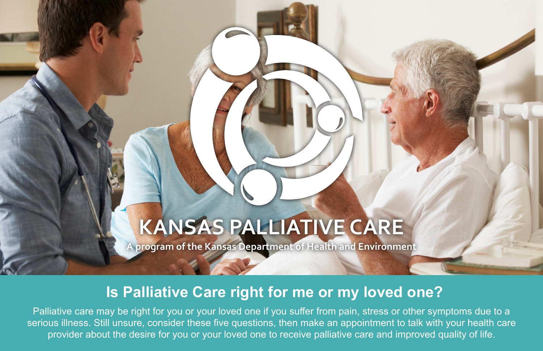# **KANSAS PALLIATIVE CARE**

**A program of the Kansas Department of Health and Environment**

## **Is Palliative Care right for me or my loved one?**

Palliative care may be right for you or your loved one if you suffer from pain, stress or other symptoms due to a serious illness. Still unsure, consider these five questions, then make an appointment to talk with your health care provider about the desire for you or your loved one to receive palliative care and improved quality of life.